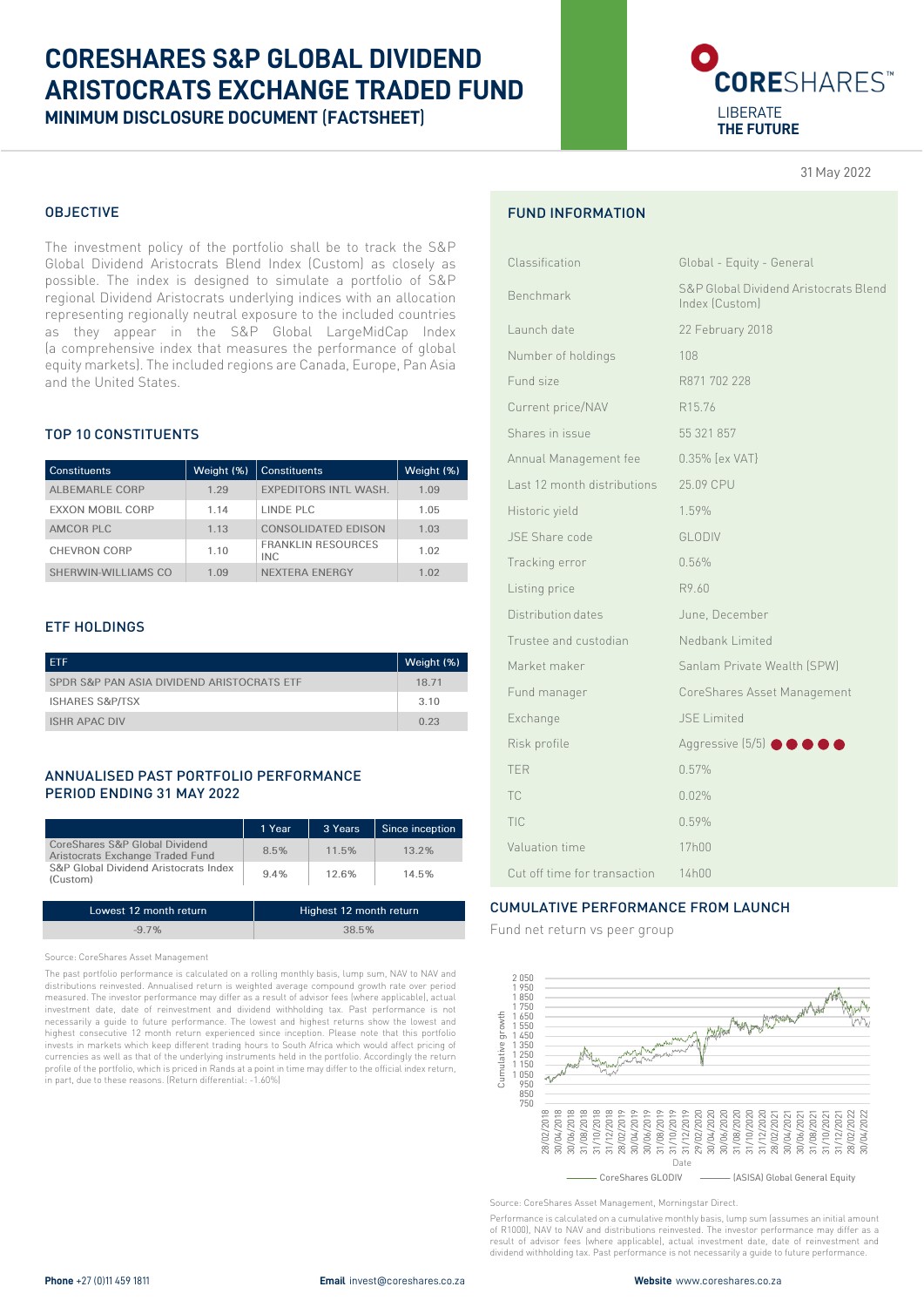# **CORESHARES S&P GLOBAL DIVIDEND ARISTOCRATS EXCHANGE TRADED FUND MINIMUM DISCLOSURE DOCUMENT** (**FACTSHEET**)

# **CORE**SHARES<sup>\*</sup> LIBERATE **THE FUTURE**

31 May 2022

# OBJECTIVE

The investment policy of the portfolio shall be to track the S&P Global Dividend Aristocrats Blend Index (Custom) as closely as possible. The index is designed to simulate a portfolio of S&P regional Dividend Aristocrats underlying indices with an allocation representing regionally neutral exposure to the included countries as they appear in the S&P Global LargeMidCap Index (a comprehensive index that measures the performance of global equity markets). The included regions are Canada, Europe, Pan Asia and the United States.

# TOP 10 CONSTITUENTS

| <b>Constituents</b>     | Weight (%) | Constituents                            | Weight (%) |
|-------------------------|------------|-----------------------------------------|------------|
| ALBEMARLE CORP          | 1.29       | <b>EXPEDITORS INTL WASH.</b>            | 1.09       |
| <b>EXXON MOBIL CORP</b> | 1.14       | LINDE PLC                               | 1.05       |
| AMCOR PLC               | 1.13       | CONSOLIDATED EDISON                     | 1.03       |
| <b>CHEVRON CORP</b>     | 110        | <b>FRANKLIN RESOURCES</b><br><b>INC</b> | 1.02       |
| SHERWIN-WILLIAMS CO     | 1 0.9      | <b>NEXTERA ENERGY</b>                   | 1 02       |

#### ETF HOLDINGS

| <b>ETF</b>                                 | Weight (%) |
|--------------------------------------------|------------|
| SPDR S&P PAN ASIA DIVIDEND ARISTOCRATS ETF | 18 71      |
| <b>ISHARES S&amp;P/TSX</b>                 | 3.10       |
| <b>ISHR APAC DIV</b>                       | 0.23       |

#### ANNUALISED PAST PORTFOLIO PERFORMANCE PERIOD ENDING 31 MAY 2022

|                                                                    | 1 Year | 3 Years | Since inception |
|--------------------------------------------------------------------|--------|---------|-----------------|
| CoreShares S&P Global Dividend<br>Aristocrats Exchange Traded Fund | 8.5%   | 11.5%   | $13.2\%$        |
| S&P Global Dividend Aristocrats Index<br>(Custom)                  | 9.4%   | 12.6%   | 14.5%           |
|                                                                    |        |         |                 |

| Lowest 12 month return | Highest 12 month return |
|------------------------|-------------------------|
| $-97%$                 | 38.5%                   |

Source: CoreShares Asset Management

The past portfolio performance is calculated on a rolling monthly basis, lump sum, NAV to NAV and distributions reinvested. Annualised return is weighted average compound growth rate over period measured. The investor performance may differ as a result of advisor fees (where applicable), actual investment date, date of reinvestment and dividend withholding tax. Past performance is not necessarily a guide to future performance. The lowest and highest returns show the lowest and highest consecutive 12 month return experienced since inception. Please note that this portfolio invests in markets which keep different trading hours to South Africa which would affect pricing of currencies as well as that of the underlying instruments held in the portfolio. Accordingly the return profile of the portfolio, which is priced in Rands at a point in time may differ to the official index return, in part, due to these reasons. (Return differential: -1.60%)

# FUND INFORMATION

| Classification               | Global - Equity - General                               |
|------------------------------|---------------------------------------------------------|
| Benchmark                    | S&P Global Dividend Aristocrats Blend<br>Index (Custom) |
| Launch date                  | 22 February 2018                                        |
| Number of holdings           | 108                                                     |
| Fund size                    | R871 702 228                                            |
| Current price/NAV            | R15.76                                                  |
| Shares in issue              | 55 321 857                                              |
| Annual Management fee        | 0.35% [ex VAT]                                          |
| Last 12 month distributions  | 25.09 CPU                                               |
| Historic yield               | 1.59%                                                   |
| JSE Share code               | <b>GLODIV</b>                                           |
| Tracking error               | 0.56%                                                   |
| Listing price                | R9.60                                                   |
| Distribution dates           | June, December                                          |
| Trustee and custodian        | Nedbank Limited                                         |
| Market maker                 | Sanlam Private Wealth (SPW)                             |
| Fund manager                 | CoreShares Asset Management                             |
| Exchange                     | <b>JSE</b> Limited                                      |
| Risk profile                 | Aggressive (5/5) <b>@ @ @ @</b>                         |
| <b>TFR</b>                   | 0.57%                                                   |
| <b>TC</b>                    | 0.02%                                                   |
| TIC                          | 0.59%                                                   |
| Valuation time               | 17h00                                                   |
| Cut off time for transaction | 14h00                                                   |

# CUMULATIVE PERFORMANCE FROM LAUNCH

Fund net return vs peer group



Source: CoreShares Asset Management, Morningstar Direct.

Performance is calculated on a cumulative monthly basis, lump sum (assumes an initial amount of R1000), NAV to NAV and distributions reinvested. The investor performance may differ as a result of advisor fees (where applicable), actual investment date, date of reinvestment and dividend withholding tax. Past performance is not necessarily a guide to future performance.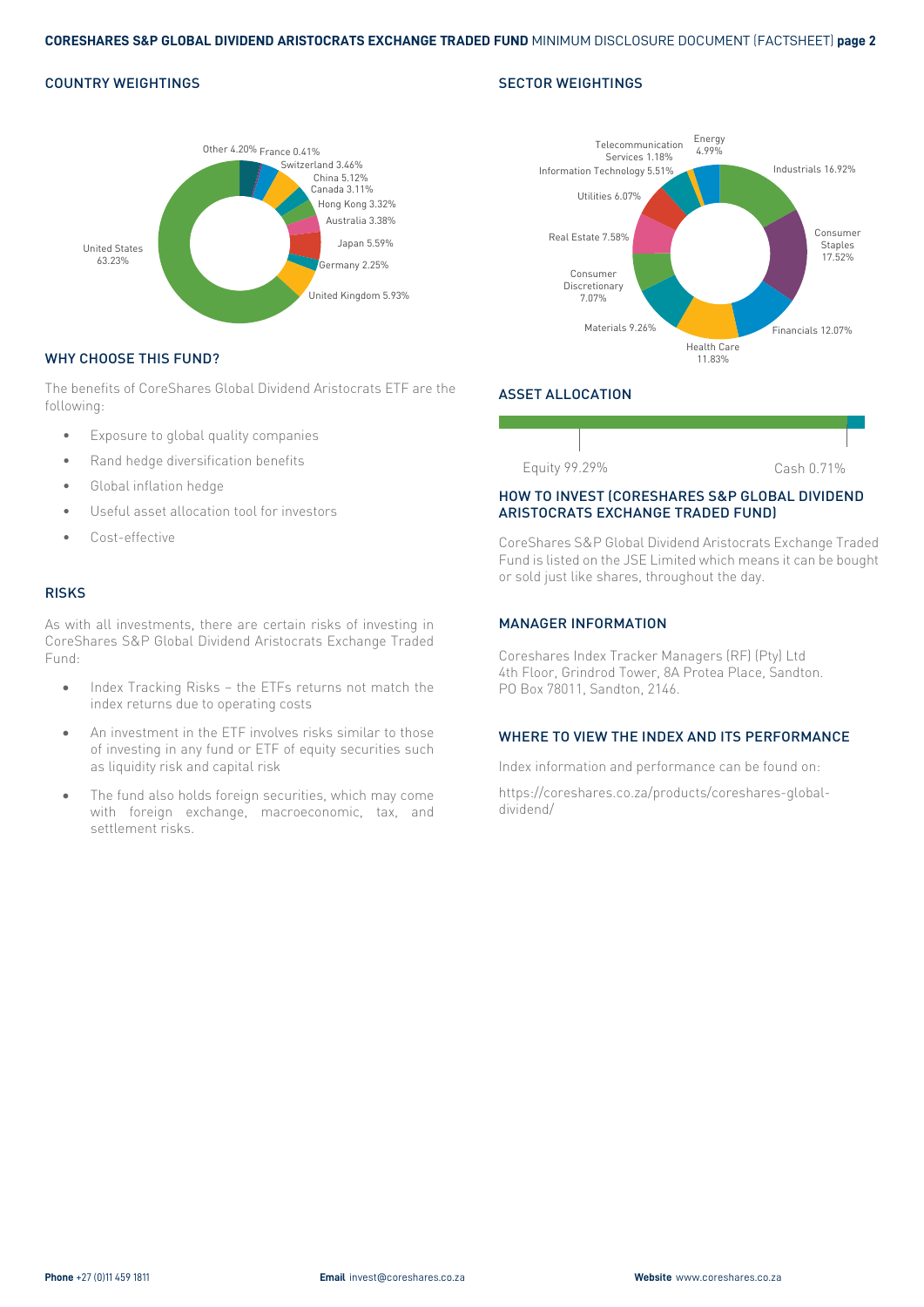#### COUNTRY WEIGHTINGS



#### WHY CHOOSE THIS FUND?

The benefits of CoreShares Global Dividend Aristocrats ETF are the following:

- Exposure to global quality companies
- Rand hedge diversification benefits
- Global inflation hedge
- Useful asset allocation tool for investors
- Cost-effective

#### RISKS

As with all investments, there are certain risks of investing in CoreShares S&P Global Dividend Aristocrats Exchange Traded Fund:

- Index Tracking Risks the ETFs returns not match the index returns due to operating costs
- An investment in the ETF involves risks similar to those of investing in any fund or ETF of equity securities such as liquidity risk and capital risk
- The fund also holds foreign securities, which may come with foreign exchange, macroeconomic, tax, and settlement risks.





# ASSET ALLOCATION



#### HOW TO INVEST (CORESHARES S&P GLOBAL DIVIDEND ARISTOCRATS EXCHANGE TRADED FUND)

CoreShares S&P Global Dividend Aristocrats Exchange Traded Fund is listed on the JSE Limited which means it can be bought or sold just like shares, throughout the day.

#### MANAGER INFORMATION

Coreshares Index Tracker Managers (RF) (Pty) Ltd 4th Floor, Grindrod Tower, 8A Protea Place, Sandton. PO Box 78011, Sandton, 2146.

#### WHERE TO VIEW THE INDEX AND ITS PERFORMANCE

Index information and performance can be found on:

https://coreshares.co.za/products/coreshares-globaldividend/